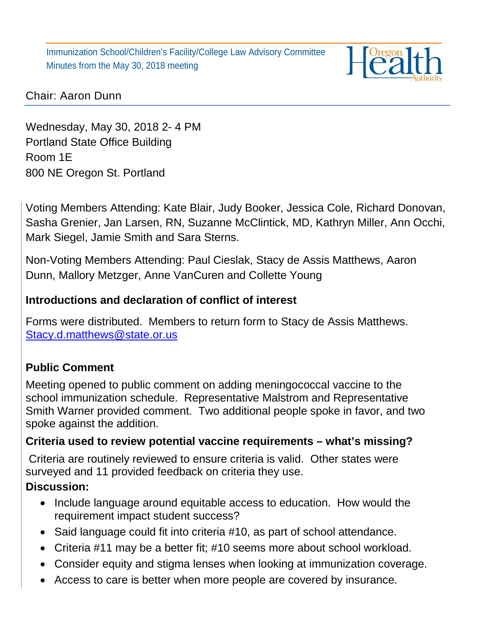Immunization School/Children's Facility/College Law Advisory Committee Minutes from the May 30, 2018 meeting



### Chair: Aaron Dunn

Wednesday, May 30, 2018 2- 4 PM Portland State Office Building Room 1E 800 NE Oregon St. Portland

Voting Members Attending: Kate Blair, Judy Booker, Jessica Cole, Richard Donovan, Sasha Grenier, Jan Larsen, RN, Suzanne McClintick, MD, Kathryn Miller, Ann Occhi, Mark Siegel, Jamie Smith and Sara Sterns.

Non-Voting Members Attending: Paul Cieslak, Stacy de Assis Matthews, Aaron Dunn, Mallory Metzger, Anne VanCuren and Collette Young

### **Introductions and declaration of conflict of interest**

Forms were distributed. Members to return form to Stacy de Assis Matthews. [Stacy.d.matthews@state.or.us](mailto:Stacy.d.matthews@state.or.us)

## **Public Comment**

Meeting opened to public comment on adding meningococcal vaccine to the school immunization schedule. Representative Malstrom and Representative Smith Warner provided comment. Two additional people spoke in favor, and two spoke against the addition.

### **Criteria used to review potential vaccine requirements – what's missing?**

Criteria are routinely reviewed to ensure criteria is valid. Other states were surveyed and 11 provided feedback on criteria they use.

### **Discussion:**

- Include language around equitable access to education. How would the requirement impact student success?
- Said language could fit into criteria #10, as part of school attendance.
- Criteria #11 may be a better fit; #10 seems more about school workload.
- Consider equity and stigma lenses when looking at immunization coverage.
- Access to care is better when more people are covered by insurance.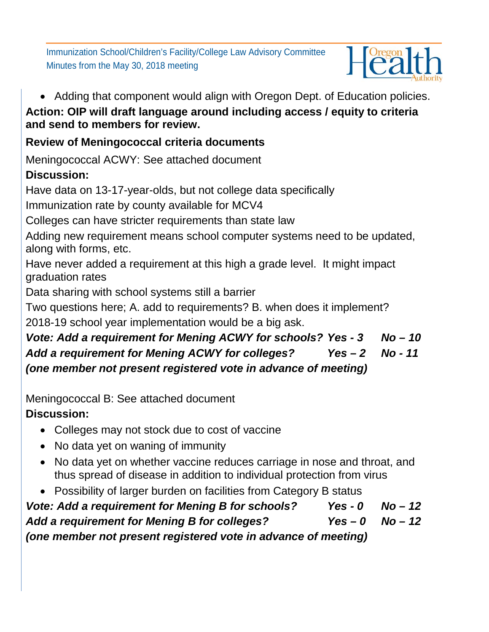Immunization School/Children's Facility/College Law Advisory Committee Minutes from the May 30, 2018 meeting



• Adding that component would align with Oregon Dept. of Education policies. **Action: OIP will draft language around including access / equity to criteria and send to members for review.**

# **Review of Meningococcal criteria documents**

Meningococcal ACWY: See attached document

# **Discussion:**

Have data on 13-17-year-olds, but not college data specifically

Immunization rate by county available for MCV4

Colleges can have stricter requirements than state law

Adding new requirement means school computer systems need to be updated, along with forms, etc.

Have never added a requirement at this high a grade level. It might impact graduation rates

Data sharing with school systems still a barrier

Two questions here; A. add to requirements? B. when does it implement? 2018-19 school year implementation would be a big ask.

# *Vote: Add a requirement for Mening ACWY for schools? Yes - 3 No – 10 Add a requirement for Mening ACWY for colleges? Yes – 2 No - 11 (one member not present registered vote in advance of meeting)*

Meningococcal B: See attached document

# **Discussion:**

- Colleges may not stock due to cost of vaccine
- No data yet on waning of immunity
- No data yet on whether vaccine reduces carriage in nose and throat, and thus spread of disease in addition to individual protection from virus
- Possibility of larger burden on facilities from Category B status

*Vote: Add a requirement for Mening B for schools? Yes - 0 No – 12 Add a requirement for Mening B for colleges? Yes – 0 No – 12 (one member not present registered vote in advance of meeting)*